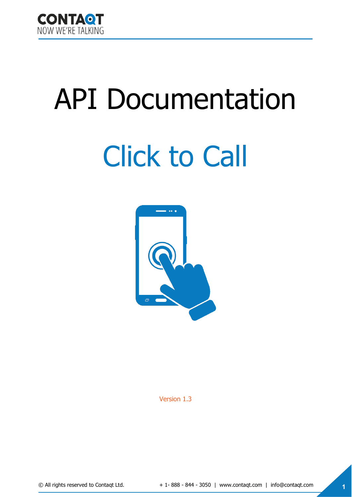

# API Documentation

# Click to Call



Version 1.3